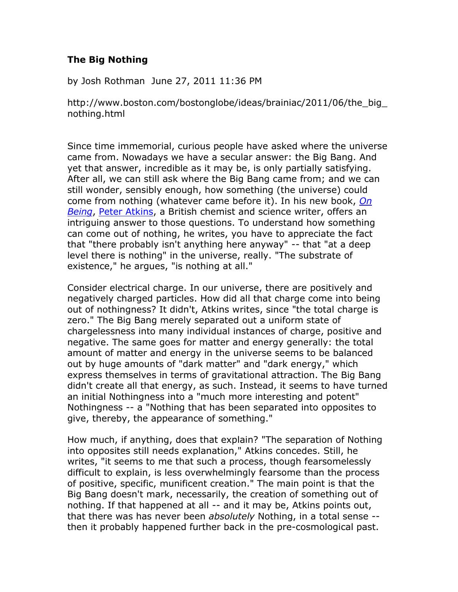## **The Big Nothing**

by Josh Rothman June 27, 2011 11:36 PM

http://www.boston.com/bostonglobe/ideas/brainiac/2011/06/the\_big\_ nothing.html

Since time immemorial, curious people have asked where the universe came from. Nowadays we have a secular answer: the Big Bang. And yet that answer, incredible as it may be, is only partially satisfying. After all, we can still ask where the Big Bang came from; and we can still wonder, sensibly enough, how something (the universe) could come from nothing (whatever came before it). In his new book, *[On](http://www.oup.com/us/catalog/general/subject/Philosophy/Methodology/?view=usa&ci=9780199603367)  [Being](http://www.oup.com/us/catalog/general/subject/Philosophy/Methodology/?view=usa&ci=9780199603367)*, [Peter Atkins,](http://en.wikipedia.org/wiki/Peter_Atkins) a British chemist and science writer, offers an intriguing answer to those questions. To understand how something can come out of nothing, he writes, you have to appreciate the fact that "there probably isn't anything here anyway" -- that "at a deep level there is nothing" in the universe, really. "The substrate of existence," he argues, "is nothing at all."

Consider electrical charge. In our universe, there are positively and negatively charged particles. How did all that charge come into being out of nothingness? It didn't, Atkins writes, since "the total charge is zero." The Big Bang merely separated out a uniform state of chargelessness into many individual instances of charge, positive and negative. The same goes for matter and energy generally: the total amount of matter and energy in the universe seems to be balanced out by huge amounts of "dark matter" and "dark energy," which express themselves in terms of gravitational attraction. The Big Bang didn't create all that energy, as such. Instead, it seems to have turned an initial Nothingness into a "much more interesting and potent" Nothingness -- a "Nothing that has been separated into opposites to give, thereby, the appearance of something."

How much, if anything, does that explain? "The separation of Nothing into opposites still needs explanation," Atkins concedes. Still, he writes, "it seems to me that such a process, though fearsomelessly difficult to explain, is less overwhelmingly fearsome than the process of positive, specific, munificent creation." The main point is that the Big Bang doesn't mark, necessarily, the creation of something out of nothing. If that happened at all -- and it may be, Atkins points out, that there was has never been *absolutely* Nothing, in a total sense - then it probably happened further back in the pre-cosmological past.